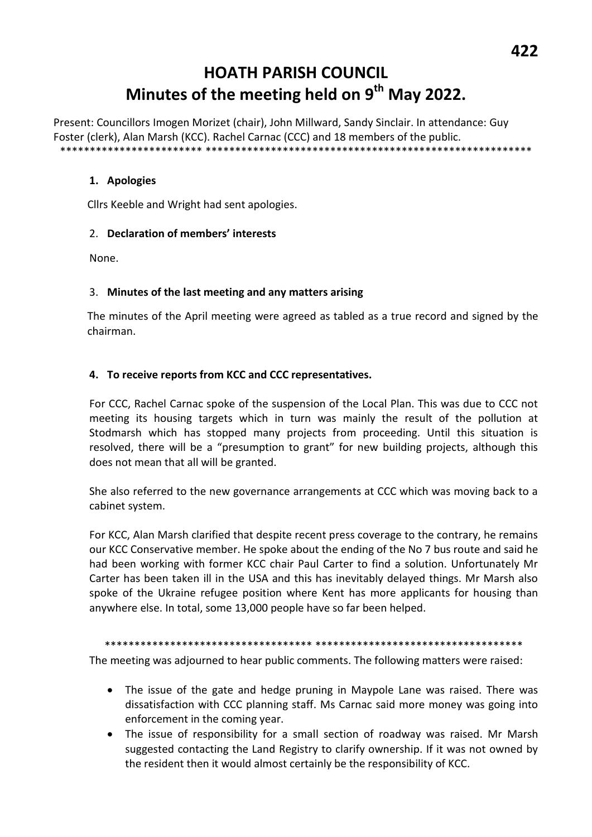# **HOATH PARISH COUNCIL** Minutes of the meeting held on 9<sup>th</sup> May 2022.

Present: Councillors Imogen Morizet (chair), John Millward, Sandy Sinclair. In attendance: Guy Foster (clerk), Alan Marsh (KCC). Rachel Carnac (CCC) and 18 members of the public. \*\*\*\*\*\*

#### 1. Apologies

Cllrs Keeble and Wright had sent apologies.

#### 2. Declaration of members' interests

None.

#### 3. Minutes of the last meeting and any matters arising

The minutes of the April meeting were agreed as tabled as a true record and signed by the chairman.

#### 4. To receive reports from KCC and CCC representatives.

For CCC, Rachel Carnac spoke of the suspension of the Local Plan. This was due to CCC not meeting its housing targets which in turn was mainly the result of the pollution at Stodmarsh which has stopped many projects from proceeding. Until this situation is resolved, there will be a "presumption to grant" for new building projects, although this does not mean that all will be granted.

She also referred to the new governance arrangements at CCC which was moving back to a cabinet system.

For KCC, Alan Marsh clarified that despite recent press coverage to the contrary, he remains our KCC Conservative member. He spoke about the ending of the No 7 bus route and said he had been working with former KCC chair Paul Carter to find a solution. Unfortunately Mr Carter has been taken ill in the USA and this has inevitably delayed things. Mr Marsh also spoke of the Ukraine refugee position where Kent has more applicants for housing than anywhere else. In total, some 13,000 people have so far been helped.

The meeting was adjourned to hear public comments. The following matters were raised:

- The issue of the gate and hedge pruning in Maypole Lane was raised. There was  $\bullet$ dissatisfaction with CCC planning staff. Ms Carnac said more money was going into enforcement in the coming year.
- The issue of responsibility for a small section of roadway was raised. Mr Marsh  $\bullet$ suggested contacting the Land Registry to clarify ownership. If it was not owned by the resident then it would almost certainly be the responsibility of KCC.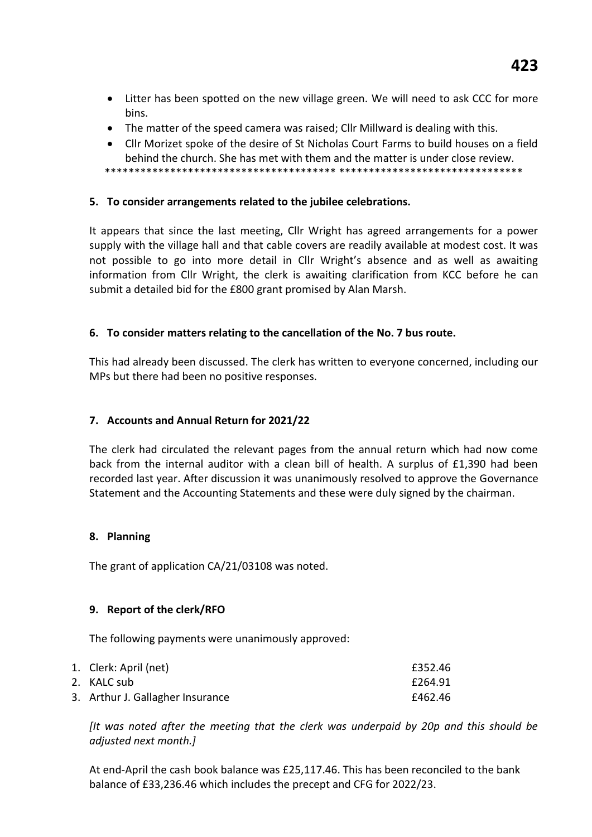- Litter has been spotted on the new village green. We will need to ask CCC for more bins.
- The matter of the speed camera was raised; Cllr Millward is dealing with this.
- Cllr Morizet spoke of the desire of St Nicholas Court Farms to build houses on a field behind the church. She has met with them and the matter is under close review.

\*\*\*\*\*\*\*\*\*\*\*\*\*\*\*\*\*\*\*\*\*\*\*\*\*\*\*\*\*\*\*\*\*\*\*\*\*\*\* \*\*\*\*\*\*\*\*\*\*\*\*\*\*\*\*\*\*\*\*\*\*\*\*\*\*\*\*\*\*\*

# **5. To consider arrangements related to the jubilee celebrations.**

It appears that since the last meeting, Cllr Wright has agreed arrangements for a power supply with the village hall and that cable covers are readily available at modest cost. It was not possible to go into more detail in Cllr Wright's absence and as well as awaiting information from Cllr Wright, the clerk is awaiting clarification from KCC before he can submit a detailed bid for the £800 grant promised by Alan Marsh.

# **6. To consider matters relating to the cancellation of the No. 7 bus route.**

This had already been discussed. The clerk has written to everyone concerned, including our MPs but there had been no positive responses.

## **7. Accounts and Annual Return for 2021/22**

The clerk had circulated the relevant pages from the annual return which had now come back from the internal auditor with a clean bill of health. A surplus of £1,390 had been recorded last year. After discussion it was unanimously resolved to approve the Governance Statement and the Accounting Statements and these were duly signed by the chairman.

#### **8. Planning**

The grant of application CA/21/03108 was noted.

# **9. Report of the clerk/RFO**

The following payments were unanimously approved:

| 1. Clerk: April (net)            | £352.46 |
|----------------------------------|---------|
| 2. KALC sub                      | £264.91 |
| 3. Arthur J. Gallagher Insurance | £462.46 |

*[It was noted after the meeting that the clerk was underpaid by 20p and this should be adjusted next month.]*

At end-April the cash book balance was £25,117.46. This has been reconciled to the bank balance of £33,236.46 which includes the precept and CFG for 2022/23.